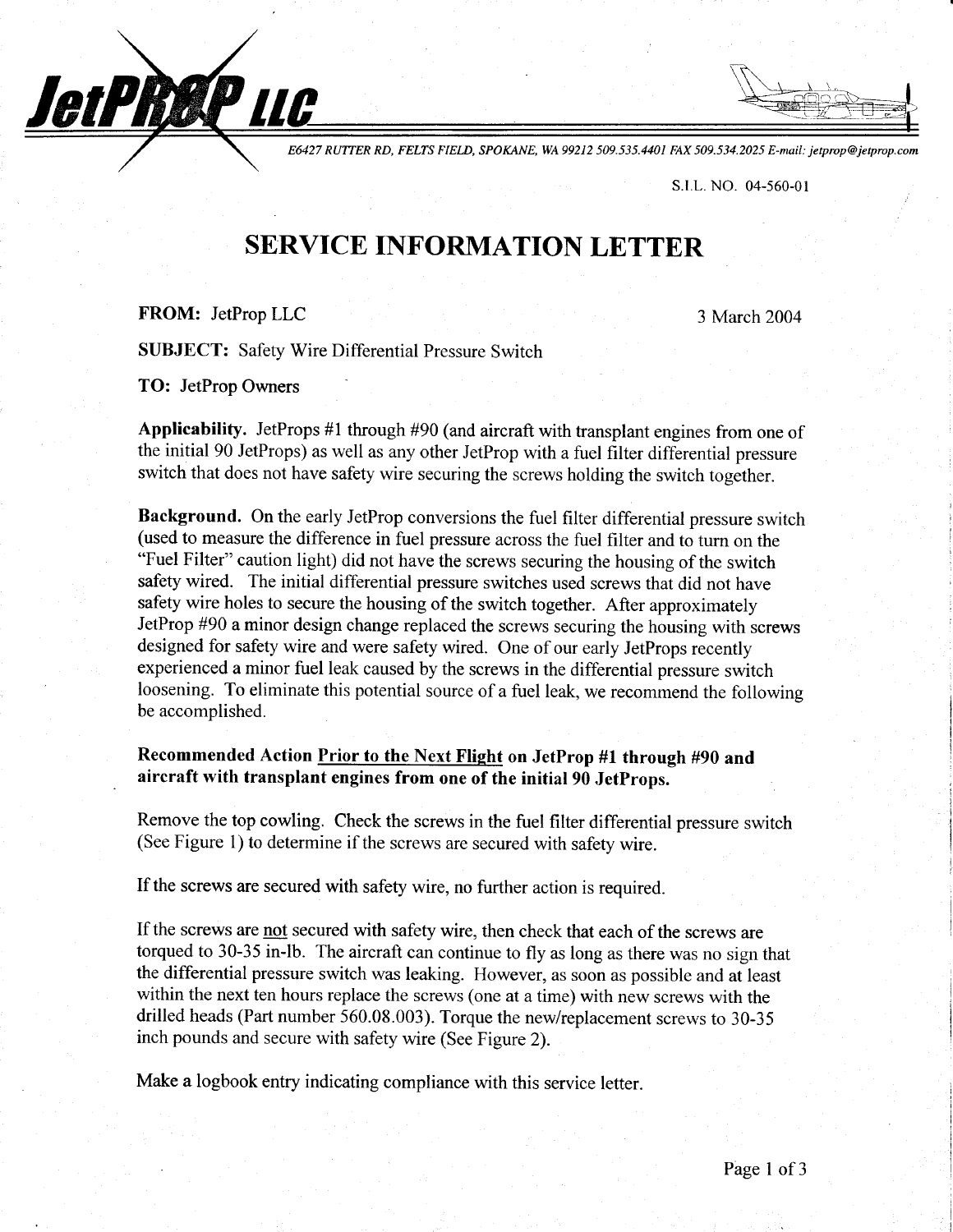E6427 RUTTER RD, FELTS FIELD, SPOKANE, WA 99212 509.535.4401 FAX 509.534.2025 E-mail: jetprop@jetprop.com

s.r.L. No. 04-560-01

## SERVICE INFORMATION LETTER

## FROM: JetProp LLC

JetPRØP LLC

3 March 2004

SUBJECT: Safety Wire Differential Pressure Switch

TO: JetProp Owners

Applicability. JetProps #1 through #90 (and aircraft with transplant engines from one of the initial 90 JetProps) as well as any other JetProp with a fuel filter differential pressure switch that does not have safety wire securing the screws holding the switch together.

Background. On the early JetProp conversions the fuel filter differential pressure switch (used to measure the difference in fuel pressure across the fuel filter and to turn on the "Fuel Filter" caution light) did not have the screws securing the housing of the switch safety wired. The initial differential pressure switches used screws that did not have safety wire holes to secure the housing of the switch together. After approximately JetProp #90 aminor design change replaced the screws securing the housing with screws designed for safety wire and were safety wired. One of our early JetProps recently experienced a minor fuel leak caused by the screws in the differential pressure switch loosening. To eliminate this potential source of a fuel leak, we recommend the following be accomplished.

## Recommended Action Prior to the Next Flight on JetProp #1 through #90 and aircraft with transplant engines from one of the initial 90 JetProps.

Remove the top cowling. Check the screws in the fuel filter differential pressure switch (See Figure 1) to determine if the screws are secured with safety wire.

If the screws are secured with safety wire, no further action is required.

If the screws are not secured with safety wire, then check that each of the screws are torqued to 30-35 in-lb. The aircraft can continue to fly as long as there was no sign that the differential pressure switch was leaking. However, as soon as possible and at least within the next ten hours replace the screws (one at a time) with new screws with the drilled heads (Part number 560.08.003). Torque the new/replacement screws to 30-35 inch pounds and secure with safety wire (See Figure 2).

Make a logbook entry indicating compliance with this service letter.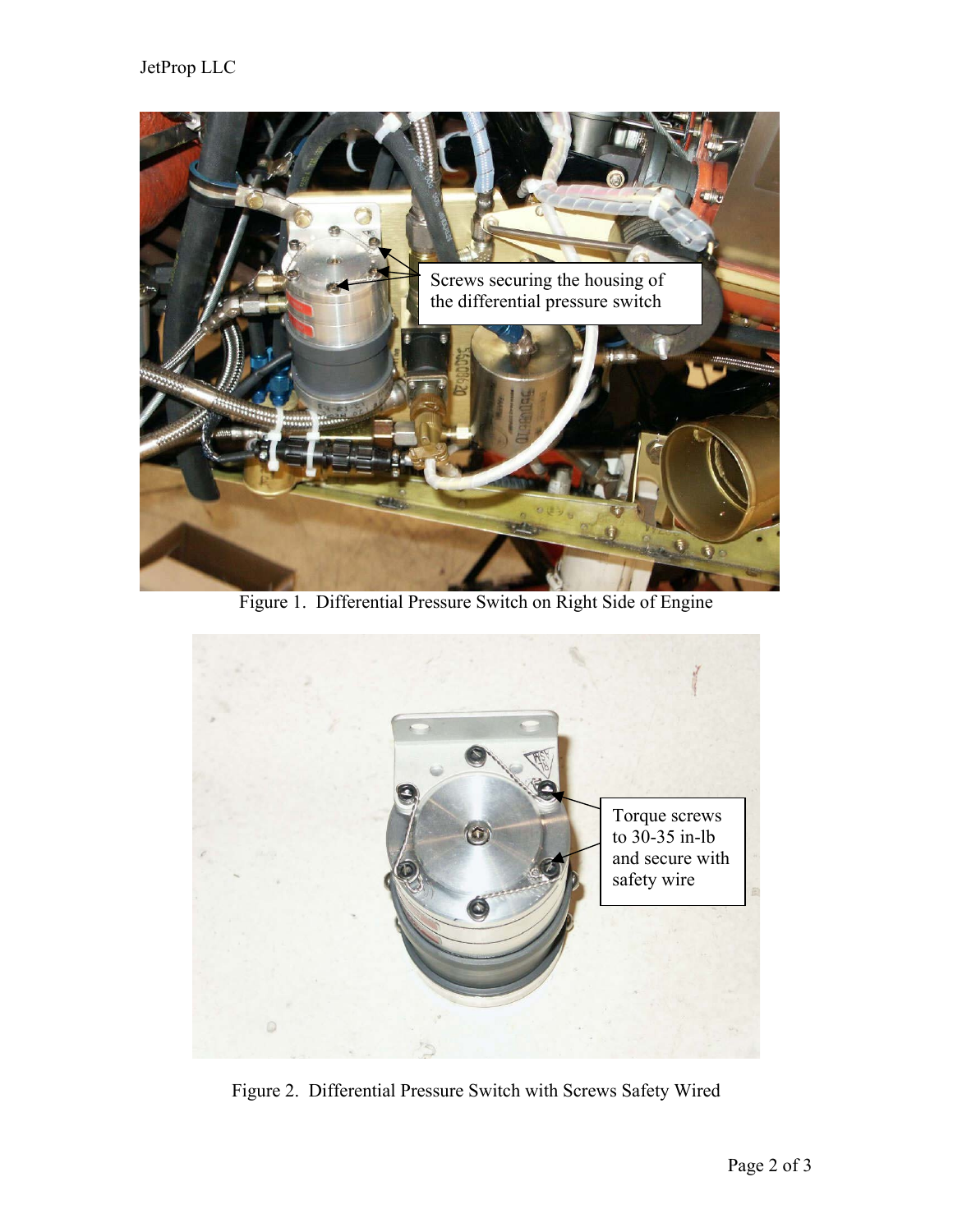

Figure 1. Differential Pressure Switch on Right Side of Engine



Figure 2. Differential Pressure Switch with Screws Safety Wired